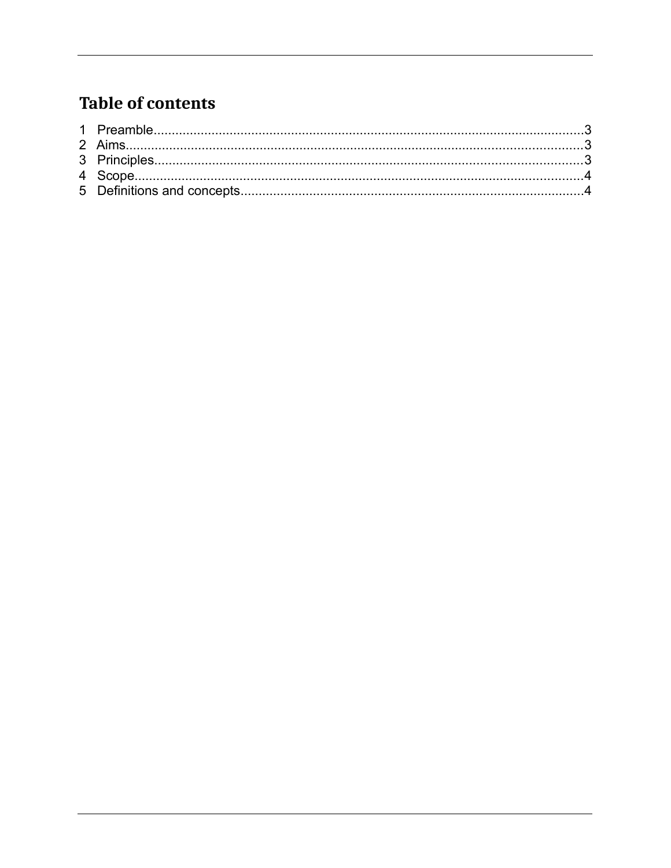#### **Table of contents**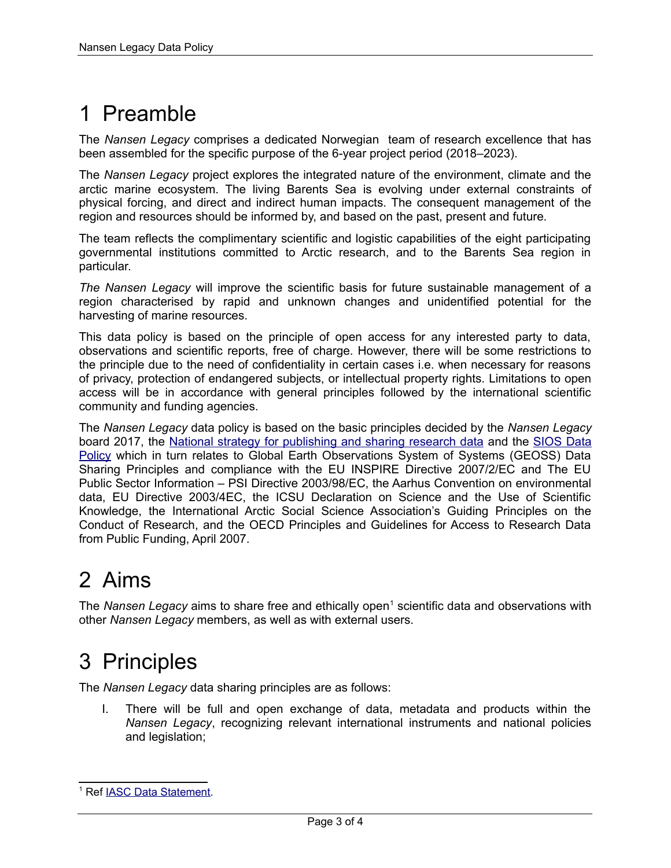# <span id="page-2-2"></span>1 Preamble

The *Nansen Legacy* comprises a dedicated Norwegian team of research excellence that has been assembled for the specific purpose of the 6-year project period (2018–2023).

The *Nansen Legacy* project explores the integrated nature of the environment, climate and the arctic marine ecosystem. The living Barents Sea is evolving under external constraints of physical forcing, and direct and indirect human impacts. The consequent management of the region and resources should be informed by, and based on the past, present and future.

The team reflects the complimentary scientific and logistic capabilities of the eight participating governmental institutions committed to Arctic research, and to the Barents Sea region in particular.

*The Nansen Legacy* will improve the scientific basis for future sustainable management of a region characterised by rapid and unknown changes and unidentified potential for the harvesting of marine resources.

This data policy is based on the principle of open access for any interested party to data, observations and scientific reports, free of charge. However, there will be some restrictions to the principle due to the need of confidentiality in certain cases i.e. when necessary for reasons of privacy, protection of endangered subjects, or intellectual property rights. Limitations to open access will be in accordance with general principles followed by the international scientific community and funding agencies.

The *Nansen Legacy* data policy is based on the basic principles decided by the *Nansen Legacy* board 2017, the [National strategy for publishing and sharing research data](https://www.regjeringen.no/no/dokumenter/nasjonal-strategi-for-tilgjengeliggjoring-og-deling-av-forskningsdata/id2582412/) and the [SIOS Data](https://sios-svalbard.org/sites/sios-svalbard.org/files/common/SIOS_Data_Policy.pdf) [Policy](https://sios-svalbard.org/sites/sios-svalbard.org/files/common/SIOS_Data_Policy.pdf) which in turn relates to Global Earth Observations System of Systems (GEOSS) Data Sharing Principles and compliance with the EU INSPIRE Directive 2007/2/EC and The EU Public Sector Information – PSI Directive 2003/98/EC, the Aarhus Convention on environmental data, EU Directive 2003/4EC, the ICSU Declaration on Science and the Use of Scientific Knowledge, the International Arctic Social Science Association's Guiding Principles on the Conduct of Research, and the OECD Principles and Guidelines for Access to Research Data from Public Funding, April 2007.

## <span id="page-2-1"></span>2 Aims

The Nansen Legacy aims to share free and ethically open<sup>[1](#page-2-3)</sup> scientific data and observations with other *Nansen Legacy* members, as well as with external users.

### <span id="page-2-0"></span>3 Principles

The *Nansen Legacy* data sharing principles are as follows:

 I. There will be full and open exchange of data, metadata and products within the *Nansen Legacy*, recognizing relevant international instruments and national policies and legislation;

<span id="page-2-3"></span><sup>&</sup>lt;sup>1</sup> Ref **IASC Data Statement**.